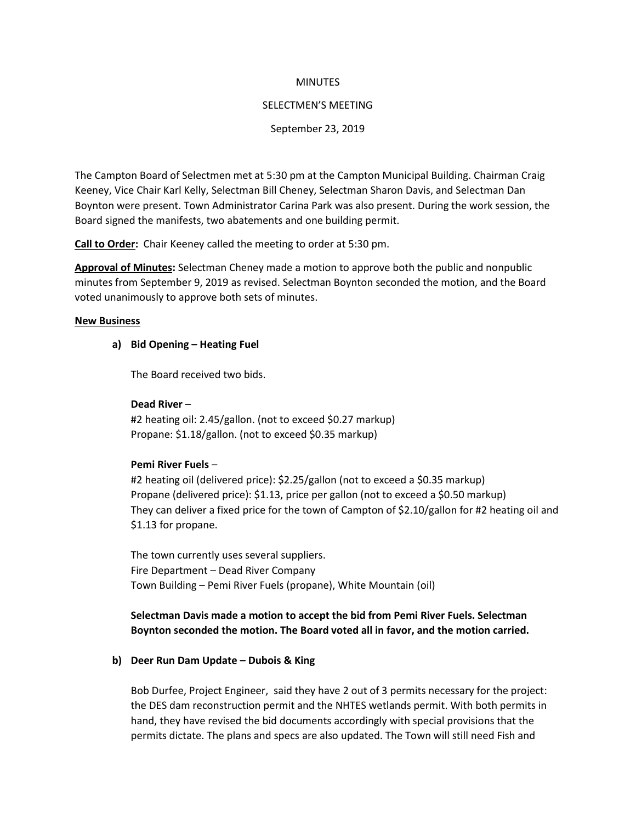### **MINUTES**

### SELECTMEN'S MEETING

### September 23, 2019

The Campton Board of Selectmen met at 5:30 pm at the Campton Municipal Building. Chairman Craig Keeney, Vice Chair Karl Kelly, Selectman Bill Cheney, Selectman Sharon Davis, and Selectman Dan Boynton were present. Town Administrator Carina Park was also present. During the work session, the Board signed the manifests, two abatements and one building permit.

**Call to Order:** Chair Keeney called the meeting to order at 5:30 pm.

**Approval of Minutes:** Selectman Cheney made a motion to approve both the public and nonpublic minutes from September 9, 2019 as revised. Selectman Boynton seconded the motion, and the Board voted unanimously to approve both sets of minutes.

### **New Business**

## **a) Bid Opening – Heating Fuel**

The Board received two bids.

#### **Dead River** –

#2 heating oil: 2.45/gallon. (not to exceed \$0.27 markup) Propane: \$1.18/gallon. (not to exceed \$0.35 markup)

### **Pemi River Fuels** –

#2 heating oil (delivered price): \$2.25/gallon (not to exceed a \$0.35 markup) Propane (delivered price): \$1.13, price per gallon (not to exceed a \$0.50 markup) They can deliver a fixed price for the town of Campton of \$2.10/gallon for #2 heating oil and \$1.13 for propane.

The town currently uses several suppliers. Fire Department – Dead River Company Town Building – Pemi River Fuels (propane), White Mountain (oil)

# **Selectman Davis made a motion to accept the bid from Pemi River Fuels. Selectman Boynton seconded the motion. The Board voted all in favor, and the motion carried.**

### **b) Deer Run Dam Update – Dubois & King**

Bob Durfee, Project Engineer, said they have 2 out of 3 permits necessary for the project: the DES dam reconstruction permit and the NHTES wetlands permit. With both permits in hand, they have revised the bid documents accordingly with special provisions that the permits dictate. The plans and specs are also updated. The Town will still need Fish and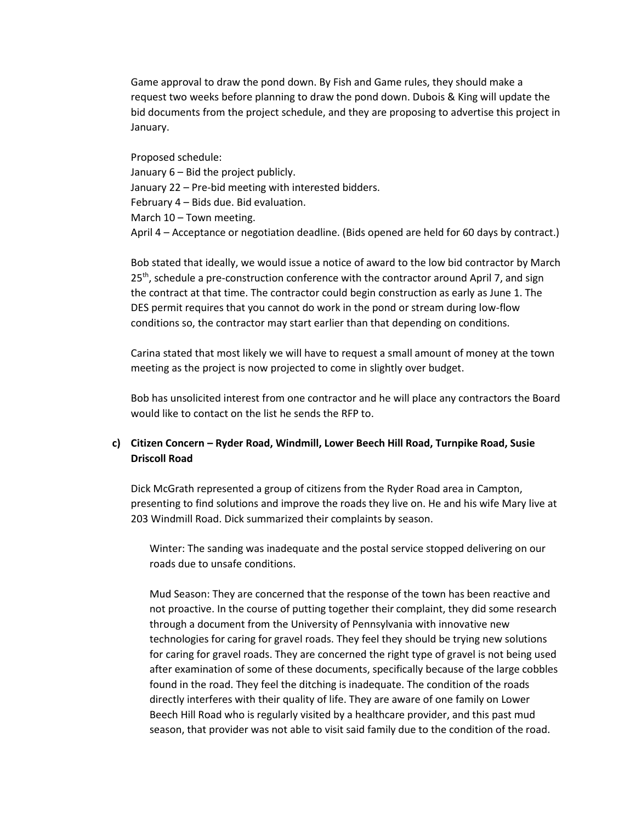Game approval to draw the pond down. By Fish and Game rules, they should make a request two weeks before planning to draw the pond down. Dubois & King will update the bid documents from the project schedule, and they are proposing to advertise this project in January.

Proposed schedule: January 6 – Bid the project publicly. January 22 – Pre-bid meeting with interested bidders. February 4 – Bids due. Bid evaluation. March 10 – Town meeting. April 4 – Acceptance or negotiation deadline. (Bids opened are held for 60 days by contract.)

Bob stated that ideally, we would issue a notice of award to the low bid contractor by March  $25<sup>th</sup>$ , schedule a pre-construction conference with the contractor around April 7, and sign the contract at that time. The contractor could begin construction as early as June 1. The DES permit requires that you cannot do work in the pond or stream during low-flow conditions so, the contractor may start earlier than that depending on conditions.

Carina stated that most likely we will have to request a small amount of money at the town meeting as the project is now projected to come in slightly over budget.

Bob has unsolicited interest from one contractor and he will place any contractors the Board would like to contact on the list he sends the RFP to.

# **c) Citizen Concern – Ryder Road, Windmill, Lower Beech Hill Road, Turnpike Road, Susie Driscoll Road**

Dick McGrath represented a group of citizens from the Ryder Road area in Campton, presenting to find solutions and improve the roads they live on. He and his wife Mary live at 203 Windmill Road. Dick summarized their complaints by season.

Winter: The sanding was inadequate and the postal service stopped delivering on our roads due to unsafe conditions.

Mud Season: They are concerned that the response of the town has been reactive and not proactive. In the course of putting together their complaint, they did some research through a document from the University of Pennsylvania with innovative new technologies for caring for gravel roads. They feel they should be trying new solutions for caring for gravel roads. They are concerned the right type of gravel is not being used after examination of some of these documents, specifically because of the large cobbles found in the road. They feel the ditching is inadequate. The condition of the roads directly interferes with their quality of life. They are aware of one family on Lower Beech Hill Road who is regularly visited by a healthcare provider, and this past mud season, that provider was not able to visit said family due to the condition of the road.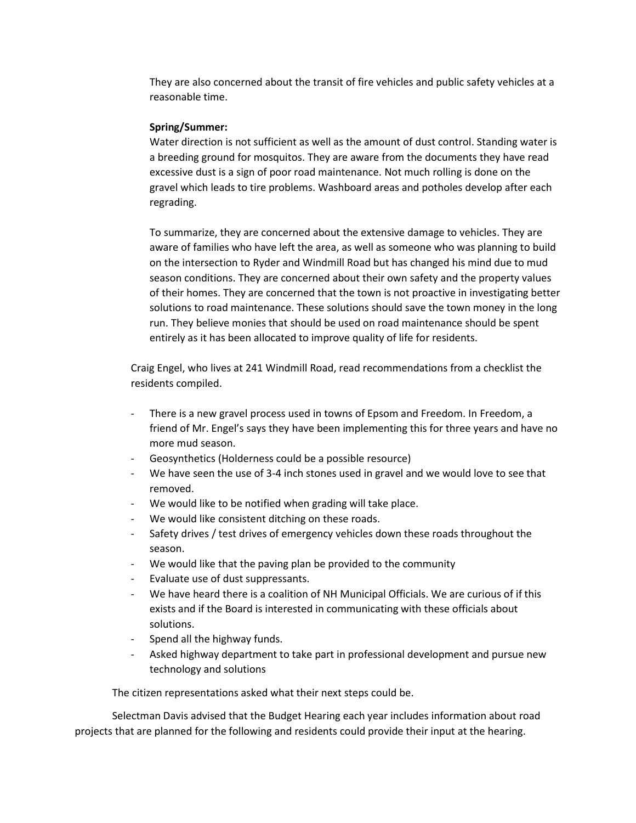They are also concerned about the transit of fire vehicles and public safety vehicles at a reasonable time.

## **Spring/Summer:**

Water direction is not sufficient as well as the amount of dust control. Standing water is a breeding ground for mosquitos. They are aware from the documents they have read excessive dust is a sign of poor road maintenance. Not much rolling is done on the gravel which leads to tire problems. Washboard areas and potholes develop after each regrading.

To summarize, they are concerned about the extensive damage to vehicles. They are aware of families who have left the area, as well as someone who was planning to build on the intersection to Ryder and Windmill Road but has changed his mind due to mud season conditions. They are concerned about their own safety and the property values of their homes. They are concerned that the town is not proactive in investigating better solutions to road maintenance. These solutions should save the town money in the long run. They believe monies that should be used on road maintenance should be spent entirely as it has been allocated to improve quality of life for residents.

Craig Engel, who lives at 241 Windmill Road, read recommendations from a checklist the residents compiled.

- There is a new gravel process used in towns of Epsom and Freedom. In Freedom, a friend of Mr. Engel's says they have been implementing this for three years and have no more mud season.
- Geosynthetics (Holderness could be a possible resource)
- We have seen the use of 3-4 inch stones used in gravel and we would love to see that removed.
- We would like to be notified when grading will take place.
- We would like consistent ditching on these roads.
- Safety drives / test drives of emergency vehicles down these roads throughout the season.
- We would like that the paving plan be provided to the community
- Evaluate use of dust suppressants.
- We have heard there is a coalition of NH Municipal Officials. We are curious of if this exists and if the Board is interested in communicating with these officials about solutions.
- Spend all the highway funds.
- Asked highway department to take part in professional development and pursue new technology and solutions

The citizen representations asked what their next steps could be.

Selectman Davis advised that the Budget Hearing each year includes information about road projects that are planned for the following and residents could provide their input at the hearing.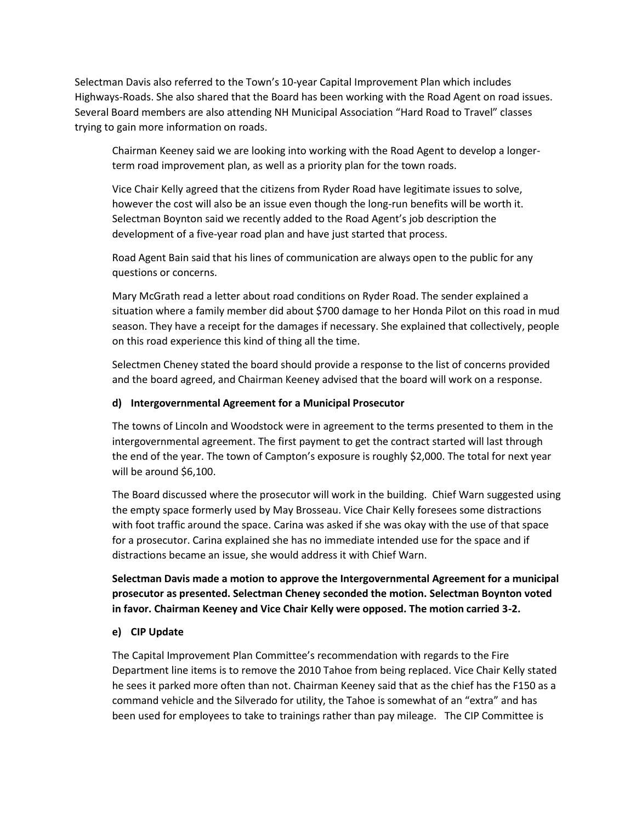Selectman Davis also referred to the Town's 10-year Capital Improvement Plan which includes Highways-Roads. She also shared that the Board has been working with the Road Agent on road issues. Several Board members are also attending NH Municipal Association "Hard Road to Travel" classes trying to gain more information on roads.

Chairman Keeney said we are looking into working with the Road Agent to develop a longerterm road improvement plan, as well as a priority plan for the town roads.

Vice Chair Kelly agreed that the citizens from Ryder Road have legitimate issues to solve, however the cost will also be an issue even though the long-run benefits will be worth it. Selectman Boynton said we recently added to the Road Agent's job description the development of a five-year road plan and have just started that process.

Road Agent Bain said that his lines of communication are always open to the public for any questions or concerns.

Mary McGrath read a letter about road conditions on Ryder Road. The sender explained a situation where a family member did about \$700 damage to her Honda Pilot on this road in mud season. They have a receipt for the damages if necessary. She explained that collectively, people on this road experience this kind of thing all the time.

Selectmen Cheney stated the board should provide a response to the list of concerns provided and the board agreed, and Chairman Keeney advised that the board will work on a response.

# **d) Intergovernmental Agreement for a Municipal Prosecutor**

The towns of Lincoln and Woodstock were in agreement to the terms presented to them in the intergovernmental agreement. The first payment to get the contract started will last through the end of the year. The town of Campton's exposure is roughly \$2,000. The total for next year will be around \$6,100.

The Board discussed where the prosecutor will work in the building. Chief Warn suggested using the empty space formerly used by May Brosseau. Vice Chair Kelly foresees some distractions with foot traffic around the space. Carina was asked if she was okay with the use of that space for a prosecutor. Carina explained she has no immediate intended use for the space and if distractions became an issue, she would address it with Chief Warn.

**Selectman Davis made a motion to approve the Intergovernmental Agreement for a municipal prosecutor as presented. Selectman Cheney seconded the motion. Selectman Boynton voted in favor. Chairman Keeney and Vice Chair Kelly were opposed. The motion carried 3-2.**

# **e) CIP Update**

The Capital Improvement Plan Committee's recommendation with regards to the Fire Department line items is to remove the 2010 Tahoe from being replaced. Vice Chair Kelly stated he sees it parked more often than not. Chairman Keeney said that as the chief has the F150 as a command vehicle and the Silverado for utility, the Tahoe is somewhat of an "extra" and has been used for employees to take to trainings rather than pay mileage. The CIP Committee is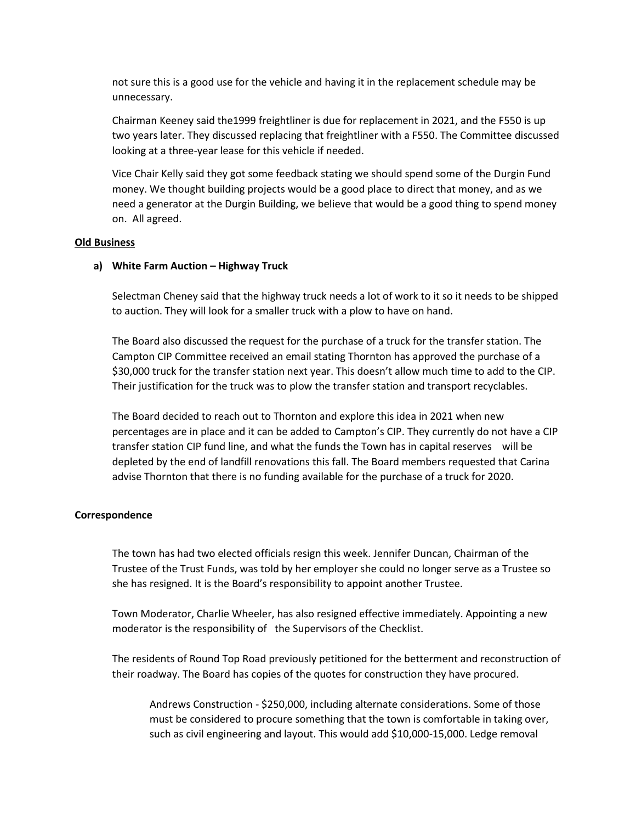not sure this is a good use for the vehicle and having it in the replacement schedule may be unnecessary.

Chairman Keeney said the1999 freightliner is due for replacement in 2021, and the F550 is up two years later. They discussed replacing that freightliner with a F550. The Committee discussed looking at a three-year lease for this vehicle if needed.

Vice Chair Kelly said they got some feedback stating we should spend some of the Durgin Fund money. We thought building projects would be a good place to direct that money, and as we need a generator at the Durgin Building, we believe that would be a good thing to spend money on. All agreed.

## **Old Business**

### **a) White Farm Auction – Highway Truck**

Selectman Cheney said that the highway truck needs a lot of work to it so it needs to be shipped to auction. They will look for a smaller truck with a plow to have on hand.

The Board also discussed the request for the purchase of a truck for the transfer station. The Campton CIP Committee received an email stating Thornton has approved the purchase of a \$30,000 truck for the transfer station next year. This doesn't allow much time to add to the CIP. Their justification for the truck was to plow the transfer station and transport recyclables.

The Board decided to reach out to Thornton and explore this idea in 2021 when new percentages are in place and it can be added to Campton's CIP. They currently do not have a CIP transfer station CIP fund line, and what the funds the Town has in capital reserves will be depleted by the end of landfill renovations this fall. The Board members requested that Carina advise Thornton that there is no funding available for the purchase of a truck for 2020.

#### **Correspondence**

The town has had two elected officials resign this week. Jennifer Duncan, Chairman of the Trustee of the Trust Funds, was told by her employer she could no longer serve as a Trustee so she has resigned. It is the Board's responsibility to appoint another Trustee.

Town Moderator, Charlie Wheeler, has also resigned effective immediately. Appointing a new moderator is the responsibility of the Supervisors of the Checklist.

The residents of Round Top Road previously petitioned for the betterment and reconstruction of their roadway. The Board has copies of the quotes for construction they have procured.

Andrews Construction - \$250,000, including alternate considerations. Some of those must be considered to procure something that the town is comfortable in taking over, such as civil engineering and layout. This would add \$10,000-15,000. Ledge removal